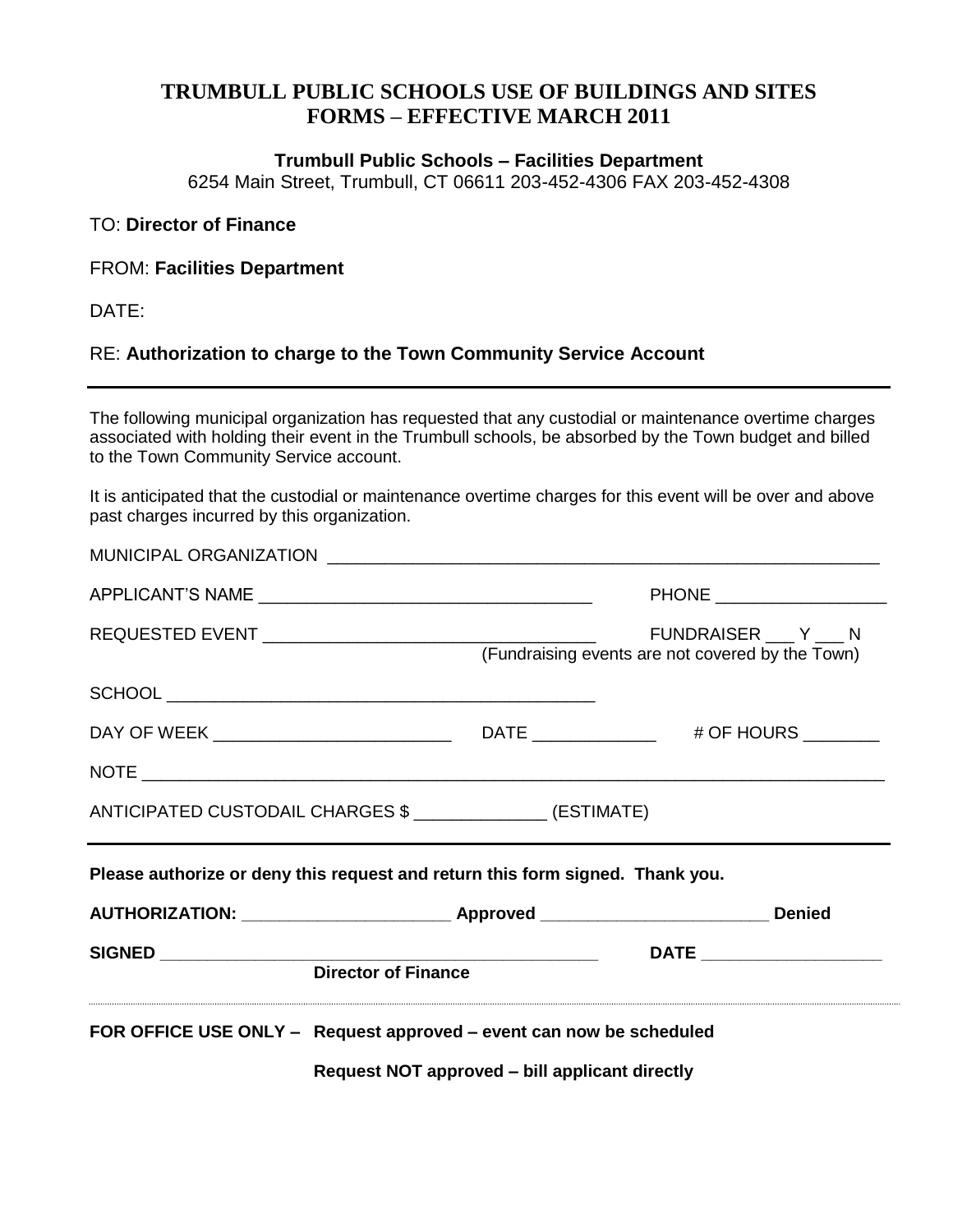# **TRUMBULL PUBLIC SCHOOLS USE OF BUILDINGS AND SITES FORMS – EFFECTIVE MARCH 2011**

#### **Trumbull Public Schools – Facilities Department**

6254 Main Street, Trumbull, CT 06611 203-452-4306 FAX 203-452-4308

### TO: **Director of Finance**

#### FROM: **Facilities Department**

DATE:

## RE: **Authorization to charge to the Town Community Service Account**

The following municipal organization has requested that any custodial or maintenance overtime charges associated with holding their event in the Trumbull schools, be absorbed by the Town budget and billed to the Town Community Service account.

It is anticipated that the custodial or maintenance overtime charges for this event will be over and above past charges incurred by this organization.

|                                                            | <b>Director of Finance</b>                                                    |                          |
|------------------------------------------------------------|-------------------------------------------------------------------------------|--------------------------|
|                                                            |                                                                               |                          |
|                                                            |                                                                               |                          |
|                                                            | Please authorize or deny this request and return this form signed. Thank you. |                          |
| ANTICIPATED CUSTODAIL CHARGES \$ ______________ (ESTIMATE) |                                                                               |                          |
|                                                            |                                                                               |                          |
|                                                            |                                                                               |                          |
|                                                            |                                                                               |                          |
|                                                            | (Fundraising events are not covered by the Town)                              | FUNDRAISER Y N           |
|                                                            |                                                                               | PHONE __________________ |
|                                                            |                                                                               |                          |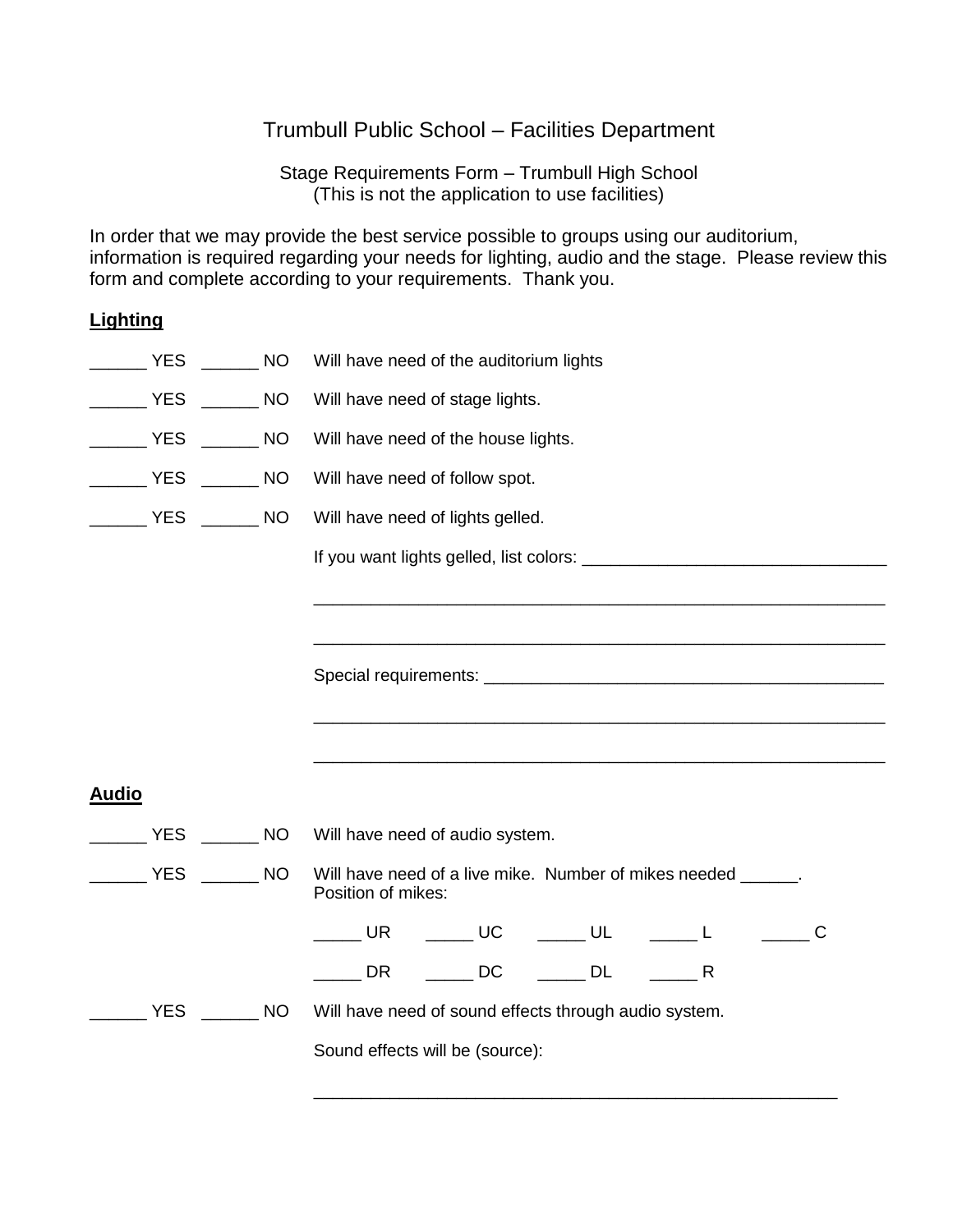## Trumbull Public School – Facilities Department

Stage Requirements Form – Trumbull High School (This is not the application to use facilities)

In order that we may provide the best service possible to groups using our auditorium, information is required regarding your needs for lighting, audio and the stage. Please review this form and complete according to your requirements. Thank you.

## **Lighting**

|                    | ________ YES _______ NO                                                                                                                                                                                                                                                             |                  | Will have need of the auditorium lights                                                                                                                                                                                                                                                                                                                                                                          |  |  |  |
|--------------------|-------------------------------------------------------------------------------------------------------------------------------------------------------------------------------------------------------------------------------------------------------------------------------------|------------------|------------------------------------------------------------------------------------------------------------------------------------------------------------------------------------------------------------------------------------------------------------------------------------------------------------------------------------------------------------------------------------------------------------------|--|--|--|
|                    | VES NO                                                                                                                                                                                                                                                                              |                  | Will have need of stage lights.                                                                                                                                                                                                                                                                                                                                                                                  |  |  |  |
|                    | $\begin{array}{ccc} \begin{array}{ccc} \text{\color{blue}{\large\bf 1}} & \text{\color{blue}{\large\bf 1}} & \text{\color{blue}{\large\bf 1}} \\ \text{\color{blue}{\large\bf 2}} & \text{\color{blue}{\large\bf 1}} & \text{\color{blue}{\large\bf 2}} \\ \end{array} \end{array}$ |                  | Will have need of the house lights.                                                                                                                                                                                                                                                                                                                                                                              |  |  |  |
| YES                |                                                                                                                                                                                                                                                                                     | $\frac{1}{2}$ NO | Will have need of follow spot.                                                                                                                                                                                                                                                                                                                                                                                   |  |  |  |
|                    | ________ YES _______ NO                                                                                                                                                                                                                                                             |                  | Will have need of lights gelled.                                                                                                                                                                                                                                                                                                                                                                                 |  |  |  |
|                    |                                                                                                                                                                                                                                                                                     |                  |                                                                                                                                                                                                                                                                                                                                                                                                                  |  |  |  |
|                    |                                                                                                                                                                                                                                                                                     |                  | <u> 1989 - Johann Stoff, deutscher Stoff, der Stoff, der Stoff, der Stoff, der Stoff, der Stoff, der Stoff, der S</u>                                                                                                                                                                                                                                                                                            |  |  |  |
|                    |                                                                                                                                                                                                                                                                                     |                  |                                                                                                                                                                                                                                                                                                                                                                                                                  |  |  |  |
|                    |                                                                                                                                                                                                                                                                                     |                  |                                                                                                                                                                                                                                                                                                                                                                                                                  |  |  |  |
|                    |                                                                                                                                                                                                                                                                                     |                  |                                                                                                                                                                                                                                                                                                                                                                                                                  |  |  |  |
|                    |                                                                                                                                                                                                                                                                                     |                  |                                                                                                                                                                                                                                                                                                                                                                                                                  |  |  |  |
| <b>Audio</b>       |                                                                                                                                                                                                                                                                                     |                  |                                                                                                                                                                                                                                                                                                                                                                                                                  |  |  |  |
|                    | <b>YES</b>                                                                                                                                                                                                                                                                          | <b>NO</b>        | Will have need of audio system.                                                                                                                                                                                                                                                                                                                                                                                  |  |  |  |
| <b>EXAMPLE YES</b> |                                                                                                                                                                                                                                                                                     | <b>NO</b>        | Will have need of a live mike. Number of mikes needed ______.<br>Position of mikes:                                                                                                                                                                                                                                                                                                                              |  |  |  |
|                    |                                                                                                                                                                                                                                                                                     |                  | $\begin{picture}(150,10) \put(0,0){\dashbox{0.5}(10,0){ }} \put(150,0){\circle{10}} \put(150,0){\circle{10}} \put(150,0){\circle{10}} \put(150,0){\circle{10}} \put(150,0){\circle{10}} \put(150,0){\circle{10}} \put(150,0){\circle{10}} \put(150,0){\circle{10}} \put(150,0){\circle{10}} \put(150,0){\circle{10}} \put(150,0){\circle{10}} \put(150,0){\circle{10}} \put(150,$<br><b>UR</b><br>$\overline{C}$ |  |  |  |
|                    |                                                                                                                                                                                                                                                                                     |                  | <b>DC</b><br>$\overline{\phantom{a}}$ DL<br><b>DR</b><br>R                                                                                                                                                                                                                                                                                                                                                       |  |  |  |
|                    | <b>YES</b>                                                                                                                                                                                                                                                                          | <b>NO</b>        | Will have need of sound effects through audio system.                                                                                                                                                                                                                                                                                                                                                            |  |  |  |

Sound effects will be (source):

 $\frac{1}{\sqrt{2\pi}}$  ,  $\frac{1}{\sqrt{2\pi}}$  ,  $\frac{1}{\sqrt{2\pi}}$  ,  $\frac{1}{\sqrt{2\pi}}$  ,  $\frac{1}{\sqrt{2\pi}}$  ,  $\frac{1}{\sqrt{2\pi}}$  ,  $\frac{1}{\sqrt{2\pi}}$  ,  $\frac{1}{\sqrt{2\pi}}$  ,  $\frac{1}{\sqrt{2\pi}}$  ,  $\frac{1}{\sqrt{2\pi}}$  ,  $\frac{1}{\sqrt{2\pi}}$  ,  $\frac{1}{\sqrt{2\pi}}$  ,  $\frac{1}{\sqrt{2\pi}}$  ,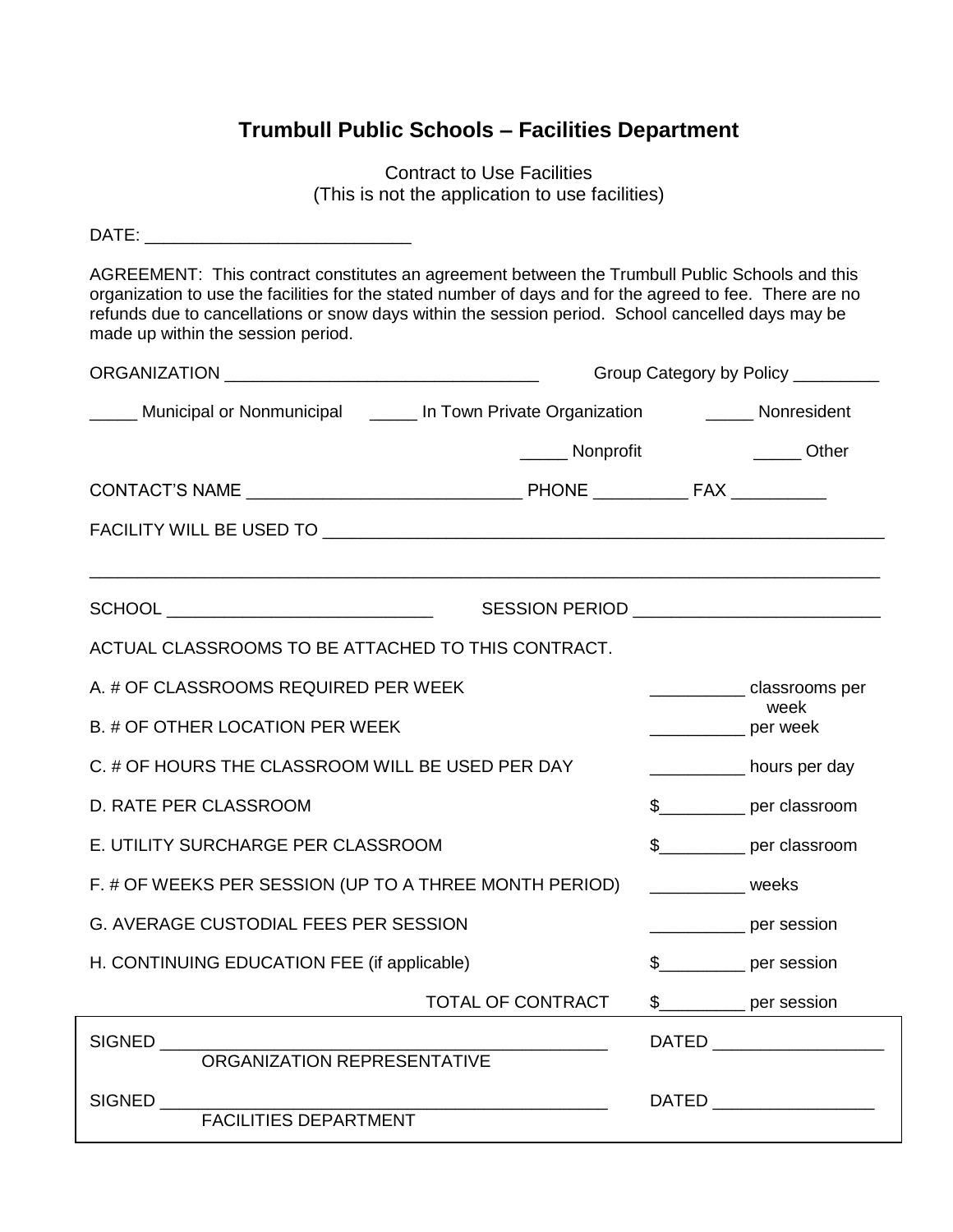# **Trumbull Public Schools – Facilities Department**

Contract to Use Facilities (This is not the application to use facilities)

| AGREEMENT: This contract constitutes an agreement between the Trumbull Public Schools and this<br>organization to use the facilities for the stated number of days and for the agreed to fee. There are no<br>refunds due to cancellations or snow days within the session period. School cancelled days may be<br>made up within the session period. |                                                        |                            |                                       |  |
|-------------------------------------------------------------------------------------------------------------------------------------------------------------------------------------------------------------------------------------------------------------------------------------------------------------------------------------------------------|--------------------------------------------------------|----------------------------|---------------------------------------|--|
|                                                                                                                                                                                                                                                                                                                                                       | Group Category by Policy _________                     |                            |                                       |  |
| Municipal or Nonmunicipal (Allem Lin Town Private Organization Terms) Nonresident                                                                                                                                                                                                                                                                     |                                                        |                            |                                       |  |
|                                                                                                                                                                                                                                                                                                                                                       | _______ Nonprofit                                      |                            | Other                                 |  |
|                                                                                                                                                                                                                                                                                                                                                       |                                                        |                            |                                       |  |
|                                                                                                                                                                                                                                                                                                                                                       |                                                        |                            |                                       |  |
|                                                                                                                                                                                                                                                                                                                                                       |                                                        |                            |                                       |  |
|                                                                                                                                                                                                                                                                                                                                                       | SESSION PERIOD <b>And Accept and Accept and Accept</b> |                            |                                       |  |
| ACTUAL CLASSROOMS TO BE ATTACHED TO THIS CONTRACT.                                                                                                                                                                                                                                                                                                    |                                                        |                            |                                       |  |
| A. # OF CLASSROOMS REQUIRED PER WEEK                                                                                                                                                                                                                                                                                                                  |                                                        |                            | _______________classrooms per<br>week |  |
| B. # OF OTHER LOCATION PER WEEK                                                                                                                                                                                                                                                                                                                       |                                                        | per week                   |                                       |  |
| C. # OF HOURS THE CLASSROOM WILL BE USED PER DAY                                                                                                                                                                                                                                                                                                      |                                                        |                            | _____________ hours per day           |  |
| D. RATE PER CLASSROOM                                                                                                                                                                                                                                                                                                                                 |                                                        |                            | \$____________ per classroom          |  |
| E. UTILITY SURCHARGE PER CLASSROOM                                                                                                                                                                                                                                                                                                                    |                                                        |                            | \$____________ per classroom          |  |
| F. # OF WEEKS PER SESSION (UP TO A THREE MONTH PERIOD)                                                                                                                                                                                                                                                                                                |                                                        | <b>Example 18 Weeks</b>    |                                       |  |
| G. AVERAGE CUSTODIAL FEES PER SESSION                                                                                                                                                                                                                                                                                                                 |                                                        |                            | <u>___________</u> per session        |  |
| H. CONTINUING EDUCATION FEE (if applicable)                                                                                                                                                                                                                                                                                                           |                                                        | \$____________ per session |                                       |  |
|                                                                                                                                                                                                                                                                                                                                                       | TOTAL OF CONTRACT                                      | $\mathsf{\$}$              | Der session                           |  |
| SIGNED<br>ORGANIZATION REPRESENTATIVE                                                                                                                                                                                                                                                                                                                 |                                                        |                            | DATED _____________________           |  |
|                                                                                                                                                                                                                                                                                                                                                       |                                                        |                            |                                       |  |
| SIGNED<br>FACILITIES DEPARTMENT                                                                                                                                                                                                                                                                                                                       |                                                        |                            | DATED ___________________             |  |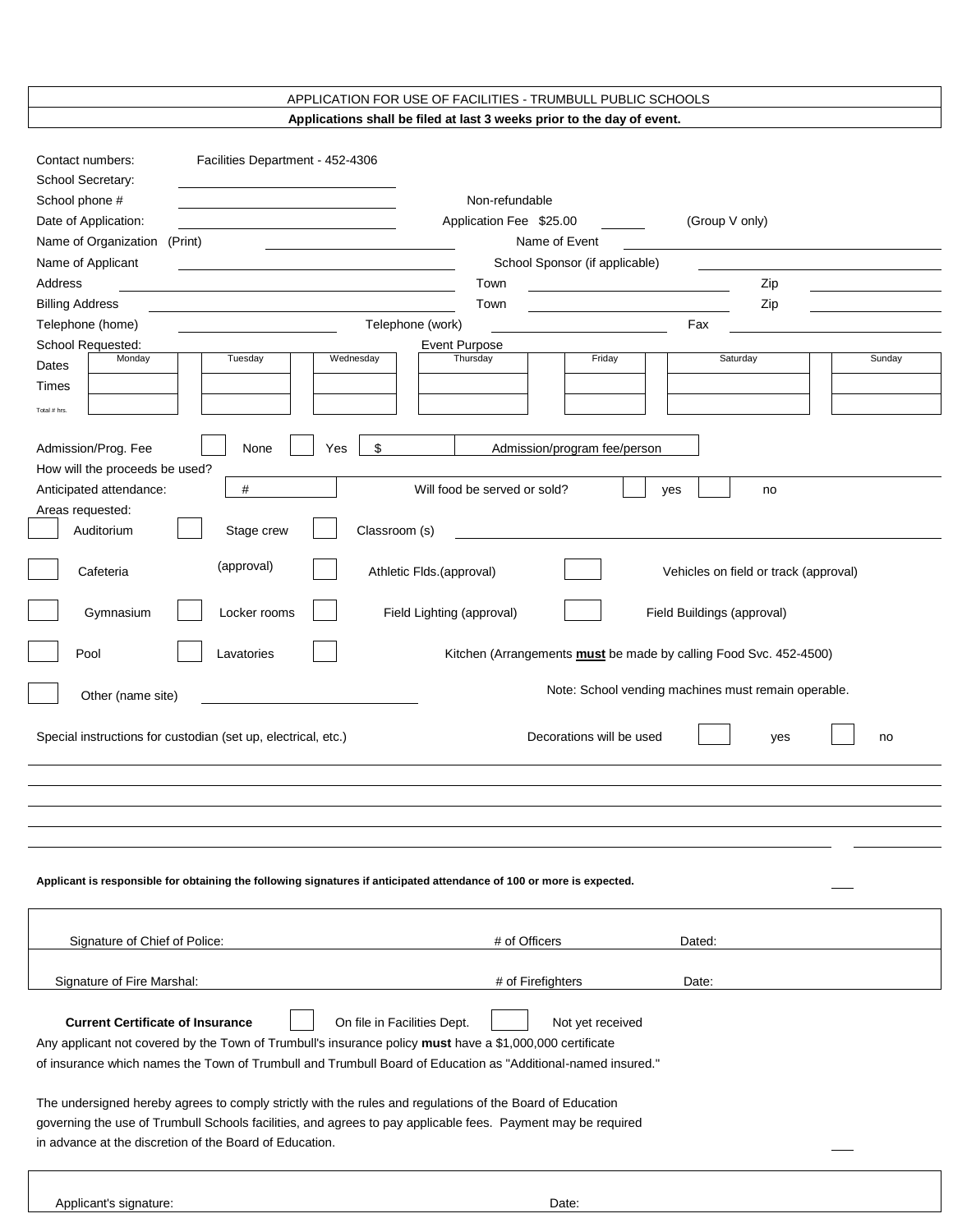#### APPLICATION FOR USE OF FACILITIES - TRUMBULL PUBLIC SCHOOLS **Applications shall be filed at last 3 weeks prior to the day of event.**

| Contact numbers:                                                                                                                                                        | Facilities Department - 452-4306                                                                         |                                           |                                |                                                                          |        |
|-------------------------------------------------------------------------------------------------------------------------------------------------------------------------|----------------------------------------------------------------------------------------------------------|-------------------------------------------|--------------------------------|--------------------------------------------------------------------------|--------|
| School Secretary:                                                                                                                                                       |                                                                                                          |                                           |                                |                                                                          |        |
| School phone #<br>Date of Application:                                                                                                                                  |                                                                                                          | Non-refundable<br>Application Fee \$25.00 |                                | (Group V only)                                                           |        |
| Name of Organization                                                                                                                                                    | (Print)                                                                                                  | Name of Event                             |                                |                                                                          |        |
| Name of Applicant                                                                                                                                                       |                                                                                                          |                                           | School Sponsor (if applicable) |                                                                          |        |
| Address                                                                                                                                                                 |                                                                                                          | Town                                      |                                | Zip                                                                      |        |
| <b>Billing Address</b>                                                                                                                                                  |                                                                                                          | Town                                      |                                | Zip                                                                      |        |
| Telephone (home)                                                                                                                                                        |                                                                                                          | Telephone (work)                          |                                | Fax                                                                      |        |
| School Requested:                                                                                                                                                       |                                                                                                          | <b>Event Purpose</b>                      |                                |                                                                          |        |
| Monday<br>Dates                                                                                                                                                         | Tuesday<br>Wednesday                                                                                     | Thursday                                  | Friday                         | Saturday                                                                 | Sunday |
| Times                                                                                                                                                                   |                                                                                                          |                                           |                                |                                                                          |        |
| Total # hrs.                                                                                                                                                            |                                                                                                          |                                           |                                |                                                                          |        |
|                                                                                                                                                                         |                                                                                                          |                                           |                                |                                                                          |        |
| Admission/Prog. Fee<br>How will the proceeds be used?                                                                                                                   | \$<br>None<br>Yes                                                                                        |                                           | Admission/program fee/person   |                                                                          |        |
| Anticipated attendance:                                                                                                                                                 | #                                                                                                        | Will food be served or sold?              |                                | yes<br>no                                                                |        |
| Areas requested:                                                                                                                                                        |                                                                                                          |                                           |                                |                                                                          |        |
| Auditorium                                                                                                                                                              | Stage crew<br>Classroom (s)                                                                              |                                           |                                |                                                                          |        |
|                                                                                                                                                                         |                                                                                                          |                                           |                                |                                                                          |        |
| Cafeteria                                                                                                                                                               | (approval)                                                                                               | Athletic Flds.(approval)                  |                                | Vehicles on field or track (approval)                                    |        |
| Gymnasium                                                                                                                                                               | Locker rooms                                                                                             | Field Lighting (approval)                 |                                | Field Buildings (approval)                                               |        |
| Pool                                                                                                                                                                    | Lavatories                                                                                               |                                           |                                | Kitchen (Arrangements <b>must</b> be made by calling Food Svc. 452-4500) |        |
| Other (name site)                                                                                                                                                       |                                                                                                          |                                           |                                | Note: School vending machines must remain operable.                      |        |
| Special instructions for custodian (set up, electrical, etc.)<br>Decorations will be used<br>no<br>yes                                                                  |                                                                                                          |                                           |                                |                                                                          |        |
|                                                                                                                                                                         |                                                                                                          |                                           |                                |                                                                          |        |
|                                                                                                                                                                         |                                                                                                          |                                           |                                |                                                                          |        |
|                                                                                                                                                                         |                                                                                                          |                                           |                                |                                                                          |        |
|                                                                                                                                                                         |                                                                                                          |                                           |                                |                                                                          |        |
| Applicant is responsible for obtaining the following signatures if anticipated attendance of 100 or more is expected.                                                   |                                                                                                          |                                           |                                |                                                                          |        |
|                                                                                                                                                                         |                                                                                                          |                                           |                                |                                                                          |        |
| Signature of Chief of Police:                                                                                                                                           |                                                                                                          | # of Officers                             |                                | Dated:                                                                   |        |
|                                                                                                                                                                         |                                                                                                          |                                           |                                |                                                                          |        |
| Signature of Fire Marshal:                                                                                                                                              |                                                                                                          | # of Firefighters                         |                                | Date:                                                                    |        |
|                                                                                                                                                                         |                                                                                                          |                                           |                                |                                                                          |        |
| <b>Current Certificate of Insurance</b>                                                                                                                                 | On file in Facilities Dept.                                                                              |                                           | Not yet received               |                                                                          |        |
|                                                                                                                                                                         | Any applicant not covered by the Town of Trumbull's insurance policy must have a \$1,000,000 certificate |                                           |                                |                                                                          |        |
| of insurance which names the Town of Trumbull and Trumbull Board of Education as "Additional-named insured."                                                            |                                                                                                          |                                           |                                |                                                                          |        |
|                                                                                                                                                                         |                                                                                                          |                                           |                                |                                                                          |        |
| The undersigned hereby agrees to comply strictly with the rules and regulations of the Board of Education                                                               |                                                                                                          |                                           |                                |                                                                          |        |
| governing the use of Trumbull Schools facilities, and agrees to pay applicable fees. Payment may be required<br>in advance at the discretion of the Board of Education. |                                                                                                          |                                           |                                |                                                                          |        |
|                                                                                                                                                                         |                                                                                                          |                                           |                                |                                                                          |        |
|                                                                                                                                                                         |                                                                                                          |                                           |                                |                                                                          |        |